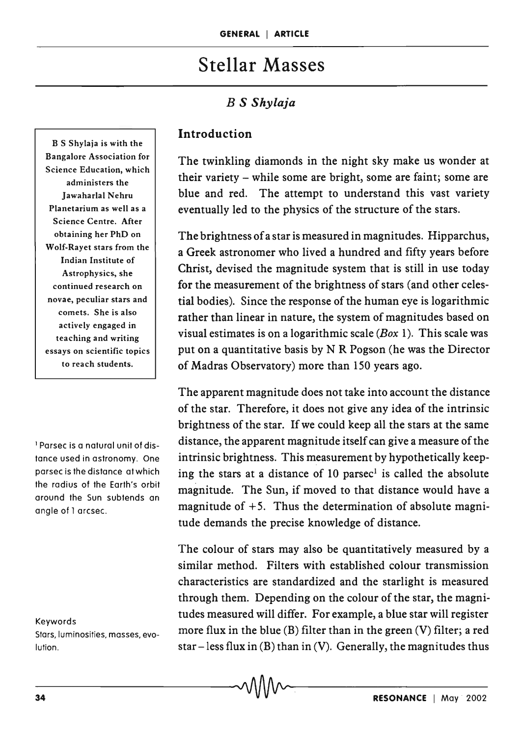# Stellar Masses

# *B* S *Shylaja*

B S Shylaja is with the Bangalore Association for Science Education, which administers the Jawaharlal Nehru Planetarium as well as a Science Centre. After obtaining her PhD on Wolf-Rayet stars from the Indian Institute of Astrophysics, she continued research on novae, peculiar stars and comets. She is also actively engaged in teaching and writing essays on scientific topics to reach students.

1 Parsec is a natural unit of distance used in astronomy. One parsec is the distance at which the radius of the Earth's orbit around the Sun subtends an angle of 1 arcsec.

#### Keywords

Stars, luminosities, masses, evolution.

#### Introduction

The twinkling diamonds in the night sky make us wonder at their variety - while some are bright, some are faint; some are blue and red. The attempt to understand this vast variety eventually led to the physics of the structure of the stars.

The brightness of a star is measured in magnitudes. Hipparchus, a Greek astronomer who lived a hundred and fifty years before Christ, devised the magnitude system that is still in use today for the measurement of the brightness of stars (and other celestial bodies). Since the response of the human eye is logarithmic rather than linear in nature, the system of magnitudes based on visual estimates is on a logarithmic scale *(Box* 1). This scale was put on a quantitative basis by N R Pogson (he was the Director of Madras Observatory) more than 150 years ago.

The apparent magnitude does not take into account the distance of the star. Therefore, it does not give any idea of the intrinsic brightness of the star. If we could keep all the stars at the same distance, the apparent magnitude itself can give a measure of the intrinsic brightness. This measurement by hypothetically keeping the stars at a distance of 10 parsec<sup>1</sup> is called the absolute magnitude. The Sun, if moved to that distance would have a magnitude of  $+5$ . Thus the determination of absolute magnitude demands the precise knowledge of distance.

The colour of stars may also be quantitatively measured by a similar method. Filters with established colour transmission characteristics are standardized and the starlight is measured through them. Depending on the colour of the star, the magnitudes measured will differ. For example, a blue star will register more flux in the blue (B) filter than in the green (V) filter; a red star – less flux in  $(B)$  than in  $(V)$ . Generally, the magnitudes thus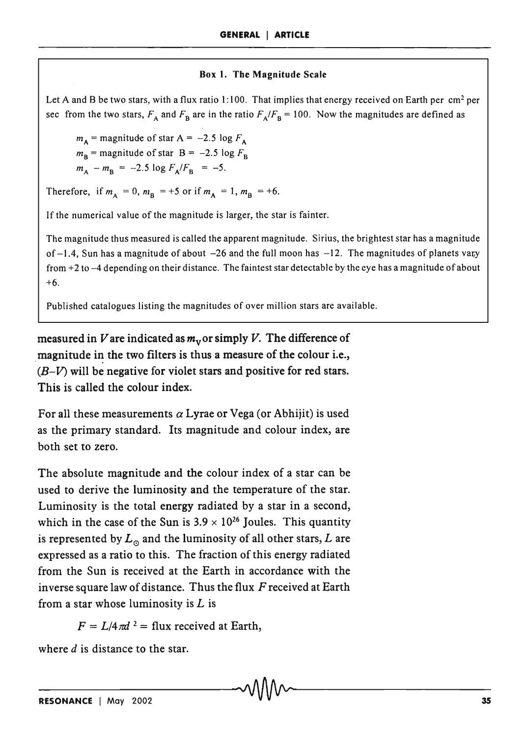#### Box 1. The Magnitude Scale

Let A and B be two stars, with a flux ratio 1:100. That implies that energy received on Earth per  $\text{cm}^2$  per sec from the two stars,  $F_A$  and  $F_B$  are in the ratio  $F_A/F_B = 100$ . Now the magnitudes are defined as

 $m_A$  = magnitude of star A = -2.5 log  $F_A$  $m_B$  = magnitude of star  $B = -2.5 \log F_B$  $m_A - m_B = -2.5 \log F_A/F_B = -5.$ 

Therefore, if  $m_A = 0$ ,  $m_B = +5$  or if  $m_A = 1$ ,  $m_B = +6$ .

If the numerical value of the magnitude is larger, the star is fainter.

The magnitude thus measured is called the apparent magnitude. Sirius, the brightest star has a magnitude of  $-1.4$ , Sun has a magnitude of about  $-26$  and the full moon has  $-12$ . The magnitudes of planets vary from +2 to -4 depending on their distance. The faintest star detectable by the eye has a magnitude of about +6.

Published catalogues listing the magnitudes of over million stars are available.

measured in V are indicated as  $m<sub>v</sub>$  or simply V. The difference of magnitude in the two filters is thus a measure of the colour i.e.,  $(B-V)$  will be negative for violet stars and positive for red stars. This is called the colour index.

For all these measurements  $\alpha$  Lyrae or Vega (or Abhijit) is used as the primary standard. Its magnitude and colour index, are both set to zero.

The absolute magnitude and the colour index of a star can be used to derive the luminosity and the temperature of the star. Luminosity is the total energy radiated by a star in a second, which in the case of the Sun is  $3.9 \times 10^{26}$  Joules. This quantity is represented by  $L_0$  and the luminosity of all other stars, L are expressed as a ratio to this. The fraction of this energy radiated from the Sun is received at the Earth in accordance with the inverse square law of distance. Thus the flux *F* received at Earth from a star whose luminosity is  $L$  is

 $F = L/4 \pi d^2 =$  flux received at Earth,

where  $d$  is distance to the star.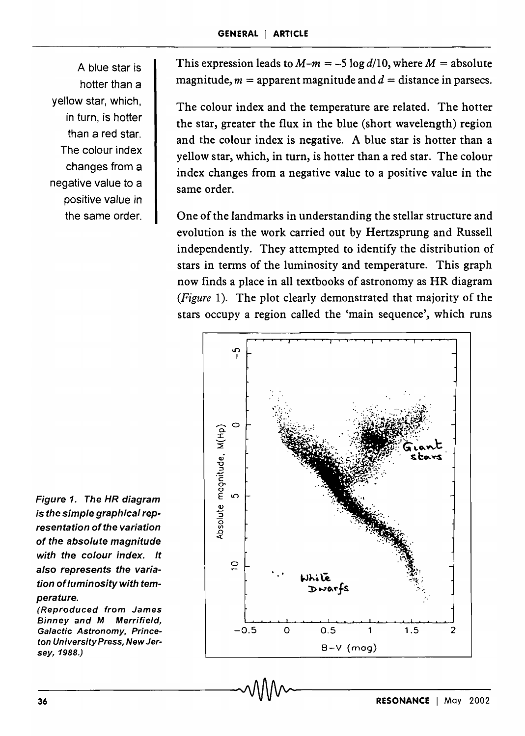A blue star is hotter than a yellow star, which, in turn, is hotter than a red star. The colour index changes from a negative value to a positive value in the same order.

This expression leads to  $M-m = -5 \log d/10$ , where  $M =$  absolute magnitude,  $m =$  apparent magnitude and  $d =$  distance in parsecs.

The colour index and the temperature are related. The hotter the star, greater the flux in the blue (short wavelength) region and the colour index is negative. A blue star is hotter than a yellow star, which, in turn, is hotter than a red star. The colour index changes from a negative value to a positive value in the same order.

One of the landmarks in understanding the stellar structure and evolution is the work carried out by Hertzsprung and Russell independently. They attempted to identify the distribution of stars in terms of the luminosity and temperature. This graph now finds a place in all textbooks of astronomy as HR diagram *(Figure* 1). The plot clearly demonstrated that majority of the stars occupy a region called the 'main sequence', which runs



Figure 1. The HR diagram is the simple graphical representation of the variation of the absolute magnitude with the colour index. It also represents the variation of luminosity with temperature.

(Reproduced from James Binney and M Merrifield, Galactic Astronomy, Princeton University Press, New Jersey,1988.)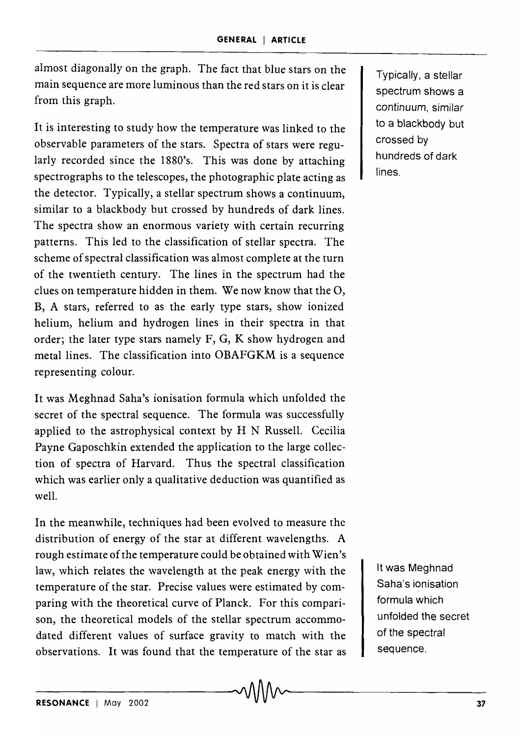almost diagonally on the graph. The fact that blue stars on the main sequence are more luminous than the red stars on it is clear from this graph.

It is interesting to study how the temperature was linked to the observable parameters of the stars. Spectra of stars were regularly recorded since the 1880's. This was done by attaching spectrographs to the telescopes, the photographic plate acting as the detector. Typically, a stellar spectrum shows a continuum, similar to a blackbody but crossed by hundreds of dark lines. The spectra show an enormous variety with certain recurring patterns. This led to the classification of stellar spectra. The scheme of spectral classification was almost complete at the turn of the twentieth century. The lines in the spectrum had the clues on temperature hidden in them. We now know that the 0, B, A stars, referred to as the early type stars, show ionized helium, helium and hydrogen lines in their spectra in that order; the later type stars namely F, G, K show hydrogen and metal lines. The classification into OBAFGKM is a sequence represen ting colour.

It was Meghnad Saha's ionisation formula which unfolded the secret of the spectral sequence. The formula was successfully applied to the astrophysical context by H N Russell. Cecilia Payne Gaposchkin extended the application to the large collection of spectra of Harvard. Thus the spectral classification which was earlier only a qualitative deduction was quantified as well.

In the meanwhile, techniques had been evolved to measure the distribution of energy of the star at different wavelengths. A rough estimate of the temperature could be obtained with Wien's law, which relates the wavelength at the peak energy with the temperature of the star. Precise values were estimated by comparing with the theoretical curve of Planck. For this comparison, the theoretical models of the stellar spectrum accommodated different values of surface gravity to match with the observations. It was found that the temperature of the star as

Typically, a stellar spectrum shows a continuum, similar to a blackbody but crossed by hundreds of dark lines.

It was Meghnad Saha's ionisation formula which unfolded the secret of the spectral sequence.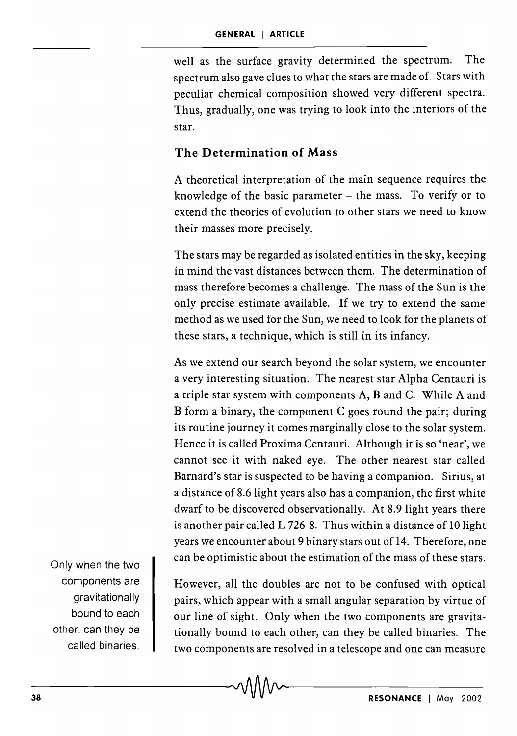well as the surface gravity determined the spectrum. The spectrum also gave clues to what the stars are made of. Stars with peculiar chemical composition showed very different spectra. Thus, gradually, one was trying to look into the interiors of the star.

### **The Determination of Mass**

A theoretical interpretation of the main sequence requires the knowledge of the basic parameter  $-$  the mass. To verify or to extend the theories of evolution to other stars we need to know their masses more precisely.

The stars may be regarded as isolated entities in the sky, keeping in mind the vast distances between them. The determination of mass therefore becomes a challenge. The mass of the Sun is the only precise estimate available. If we try to extend the same method as we used for the Sun, we need to look for the planets of these stars, a technique, which is still in its infancy.

As we extend our search beyond the solar system, we encounter a very interesting situation. The nearest star Alpha Centauri is a triple star system with components A, Band C. While A and B form a binary, the component C goes round the pair; during its routine journey it comes marginally close to the solar system. Hence it is called Proxima Centauri. Although it is so 'near', we cannot see it with naked eye. The other nearest star called Barnard's star is suspected to be having a companion. Sirius, at a distance of 8.6 light years also has a companion, the first white dwarf to be discovered observationally. At 8.9 light years there is another pair called L 726-8. Thus within a distance of 10 light years we encounter about 9 binary stars out of 14. Therefore, one can be optimistic about the estimation of the mass of these stars.

Only when the two components are gravitationally bound to each other, can they be called binaries.

However, all the doubles are not to be confused with optical pairs, which appear with a small angular separation by virtue of our line of sight. Only when the two components are gravitationally bound to each other, can they be called binaries. The two components are resolved in a telescope and one can measure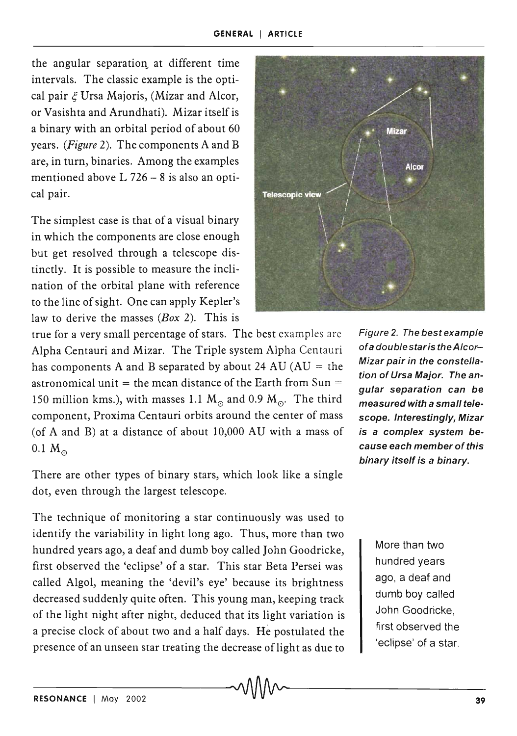the angular separation at different time intervals. The classic example is the optical pair  $\epsilon$  Ursa Majoris, (Mizar and Alcor, or Vasishta and Arundhati). Mizar itself is a binary with an orbital period of about 60 years. *(Figure* 2). The components A and B are, in turn, binaries. Among the examples mentioned above  $L$  726 – 8 is also an optical pair.

The simplest case is that of a visual binary in which the components are close enough but get resolved through a telescope distinctly. It is possible to measure the inclination of the orbital plane with reference to the line of sight. One can apply Kepler's law to derive the masses *(Box* 2). This is

true for a very small percentage of stars. The best examples are Alpha Centauri and Mizar. The Triple system Alpha Centauri has components A and B separated by about 24 AU ( $AU =$  the astronomical unit = the mean distance of the Earth from  $Sun =$ 150 million kms.), with masses 1.1  $M_{\odot}$  and 0.9  $M_{\odot}$ . The third component, Proxima Centauri orbits around the center of mass (of A and B) at a distance of about 10,000 AU with a mass of  $0.1 M_{\odot}$ 

There are other types of binary stars, which look like a single dot, even through the largest telescope.

The technique of monitoring a star continuously was used to identify the variability in light long ago. Thus, more than two hundred years ago, a deaf and dumb boy called John Goodricke, first observed the 'eclipse' of a star. This star Beta Persei was called Algol, meaning the 'devil's eye' because its brightness decreased suddenly quite often. This young man, keeping track of the light night after night, deduced that its light variation is a precise clock of about two and a half days. He postulated the presence of an unseen star treating the decrease of light as due to



Figure 2. The best example ofa doublestaris theAlcor-Mizar pair in the constellation of Ursa Major. The angular separation can be measured with a small telescope. Interestingly, Mizar is a complex system because each member of this binary itself is a binary.

> More than two hundred years ago, a deaf and dumb boy called John Goodricke, first observed the 'eclipse' of a star.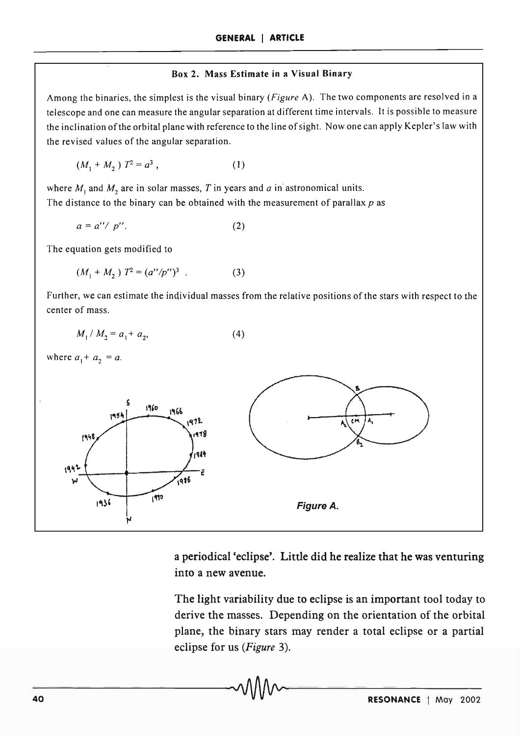#### Box 2. Mass Estimate in a Visual Binary

Among the binaries, the simplest is the visual binary *(Figure* A). The two components are resolved in a telescope and one can measure the angular separation at different time intervals. It is possible to measure the inclination of the orbital plane with reference to the line of sight. Now one can apply Kepler's law with the revised values of the angular separation.

$$
(M_1 + M_2) T^2 = a^3 , \t\t(1)
$$

where  $M_1$  and  $M_2$  are in solar masses, *T* in years and *a* in astronomical units. The distance to the binary can be obtained with the measurement of parallax *p* as

$$
a = a''/p''.
$$
 (2)

The equation gets modified to

$$
(M_1 + M_2) T^2 = (a''/p'')^3 . \tag{3}
$$

Further, we can estimate the individual masses from the relative positions of the stars with respect to the center of mass.

$$
M_1 / M_2 = a_1 + a_2, \tag{4}
$$

where  $a_1 + a_2 = a$ .



a periodical 'eclipse'. Little did he realize that he was venturing into a new avenue.

The light variability due to eclipse is an important tool today to derive the masses. Depending on the orientation of the orbital plane, the binary stars may render a total eclipse or a partial eclipse for us *(Figure 3).*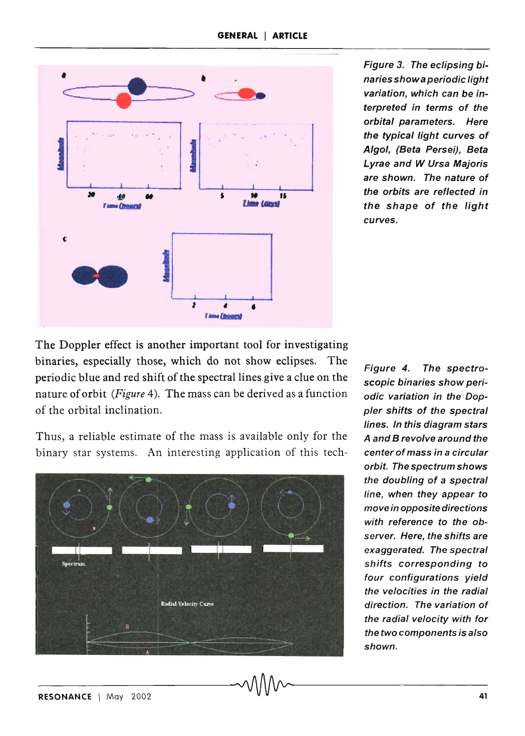

Figure 3. The eclipsing binaries show a periodic light variation, which can be interpreted in terms of the orbital parameters. Here the typical light curves of Algol, (Beta Persei). Beta Lyrae and W Ursa Majoris are shown. The nature of the orbits are reflected in the shape of the light curves.

The Doppler effect is another important tool for investigating binaries, especially those, which do not show eclipses. The periodic blue and red shift of the spectral lines give a clue on the nature of orbit *(Figure* 4). The mass can be derived as a function of the orbital inclination.

Thus, a reliable estimate of the mass is available only for the A and B revolve around the binary star systems. An interesting application of this tech- center of mass in a circular



Figure 4. The spectroscopic binaries show periodic variation in the Doppler shifts of the spectral lines. In this diagram stars orbit. The spectrum shows the doubling of a spectral line, when they appear to move in opposite directions with reference to the observer. Here, the shifts are exaggerated. The spectral shifts corresponding to four configurations yield the velocities in the radial direction. The variation of the radial velocity with for the two components is also shown.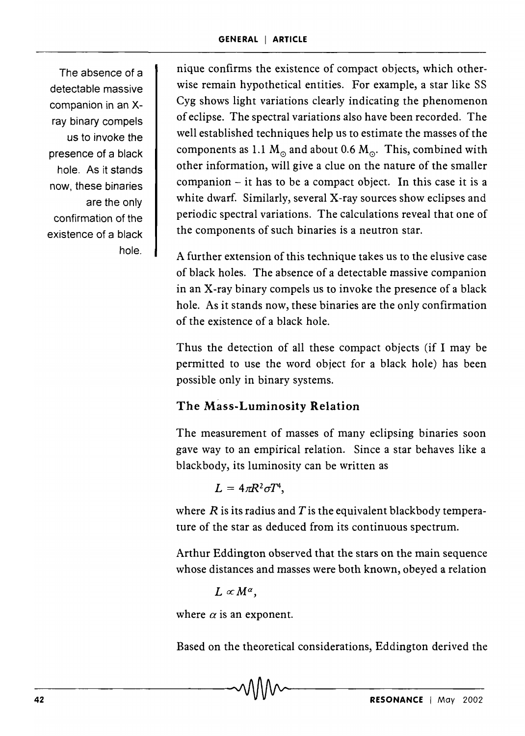The absence of a detectable massive companion in an xray binary compels us to invoke the presence of a black hole. As it stands now, these binaries are the only confirmation of the existence of a black hole.

nique confirms the existence of compact objects, which otherwise remain hypothetical entities. For example, a star like SS Cyg shows light variations clearly indicating the phenomenon of eclipse. The spectral variations also have been recorded. The well established techniques help us to estimate the masses of the components as 1.1  $M_{\odot}$  and about 0.6  $M_{\odot}$ . This, combined with other information, will give a clue on the nature of the smaller  $companion - it$  has to be a compact object. In this case it is a white dwarf. Similarly, several X-ray sources show eclipses and periodic spectral variations. The calculations reveal that one of the components of such binaries is a neutron star.

A further extension of this technique takes us to the elusive case of black holes. The absence of a detectable massive companion in an X-ray binary compels us to invoke the presence of a black hole. As it stands now, these binaries are the only confirmation of the existence of a black hole.

Thus the detection of all these compact objects (if I may be permitted to use the word object for a black hole) has been possible only in binary systems.

# The Mass-Luminosity Relation

The measurement of masses of many eclipsing binaries soon gave way to an empirical relation. Since a star behaves like a blackbody, its luminosity can be written as

 $L = 4\pi R^2 \sigma T^4$ .

where  $R$  is its radius and  $T$  is the equivalent blackbody temperature of the star as deduced from its continuous spectrum.

Arthur Eddington observed that the stars on the main sequence whose distances and masses were both known, obeyed a relation

 $L \propto M^{\alpha}$ ,

where  $\alpha$  is an exponent.

Based on the theoretical considerations, Eddington derived the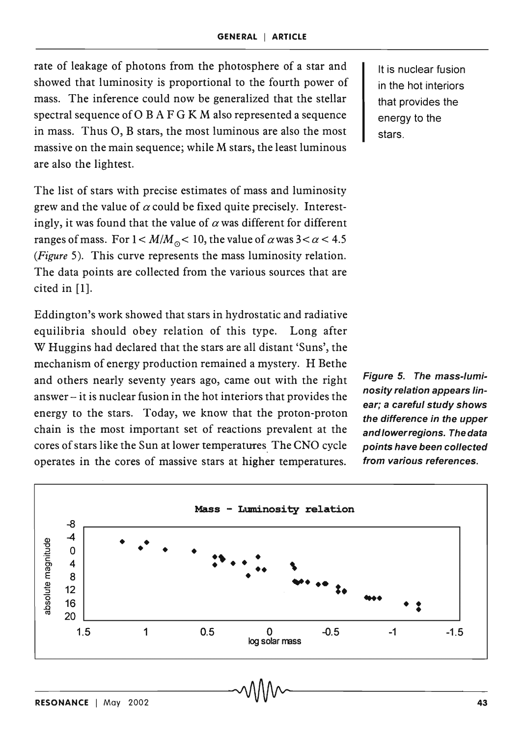rate of leakage of photons from the photosphere of a star and showed that luminosity is proportional to the fourth power of mass. The inference could now be generalized that the stellar spectral sequence of  $O$  B A F G K M also represented a sequence in mass. Thus 0, B stars, the most luminous are also the most massive on the main sequence; while M stars, the least luminous are also the lightest.

The list of stars with precise estimates of mass and luminosity grew and the value of  $\alpha$  could be fixed quite precisely. Interestingly, it was found that the value of  $\alpha$  was different for different ranges of mass. For  $1 < M/M_{\odot} < 10$ , the value of  $\alpha$  was  $3 < \alpha < 4.5$ *(Figure* 5). This curve represents the mass luminosity relation. The data points are collected from the various sources that are cited in [1].

Eddington's work showed that stars in hydrostatic and radiative equilibria should obey relation of this type. Long after W Huggins had declared that the stars are all distant 'Suns', the mechanism of energy production remained a mystery. H Bethe and others nearly seventy years ago, came out with the right answer- it is nuclear fusion in the hot interiors that provides the energy to the stars. Today, we know that the proton-proton chain is the most important set of reactions prevalent at the cores of stars like the Sun at lower temperatures. The CNO cycle operates in the cores of massive stars at higher temperatures.

It is nuclear fusion in the hot interiors that provides the energy to the stars.

Figure 5. The mass-luminosity relation appears linear; a careful study shows the difference in the upper and lower regions. The data points have been collected from various references.

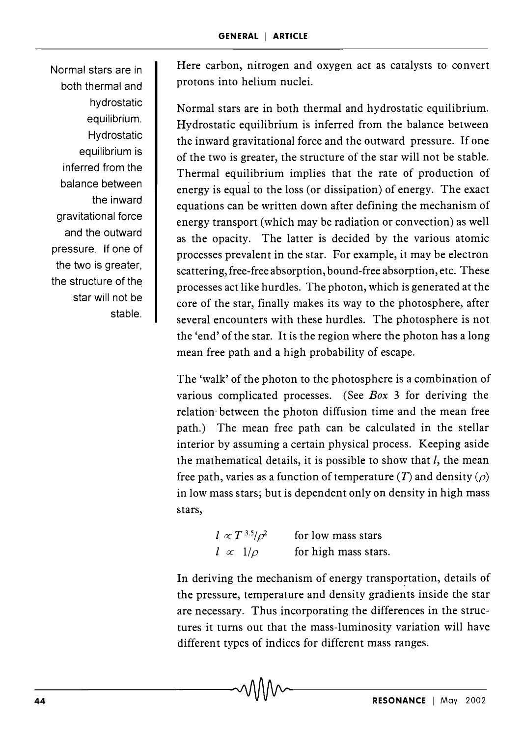Normal stars are in both thermal and hydrostatic equilibrium. Hydrostatic equilibrium is inferred from the balance between the inward gravitational force and the outward pressure. If one of the two is greater, the structure of the star will not be stable. Here carbon, nitrogen and oxygen act as catalysts to convert protons into helium nuclei.

Normal stars are in both thermal and hydrostatic equilibrium. Hydrostatic equilibrium is inferred from the balance between the inward gravitational force and the outward pressure. If one of the two is greater, the structure of the star will not be stable. Thermal equilibrium implies that the rate of production of energy is equal to the loss (or dissipation) of energy. The exact equations can be written down after defining the mechanism of energy transport (which may be radiation or convection) as well as the opacity. The latter is decided by the various atomic processes prevalent in the star. For example, it may be electron scattering, free-free absorption, bound-free absorption, etc. These processes act like hurdles. The photon, which is generated at the core of the star, finally makes its way to the photosphere, after several encounters with these hurdles. The photosphere is not the 'end' of the star. It is the region where the photon has a long mean free path and a high probability of escape.

The 'walk' of the photon to the photosphere is a combination of various complicated processes. (See *Box* 3 for deriving the relation· between the photon diffusion time and the mean free path.) The mean free path can be calculated in the stellar interior by assuming a certain physical process. Keeping aside the mathematical details, it is possible to show that  $l$ , the mean free path, varies as a function of temperature (T) and density ( $\rho$ ) in low mass stars; but is dependent only on density in high mass stars,

> $l \propto T$  3.5/ $\rho^2$  $l \propto 1/\rho$ for low mass stars for high mass stars.

In deriving the mechanism of energy transportation, details of the pressure, temperature and density gradients inside the star are necessary. Thus incorporating the differences in the structures it turns out that the mass-luminosity variation will have different types of indices for different mass ranges.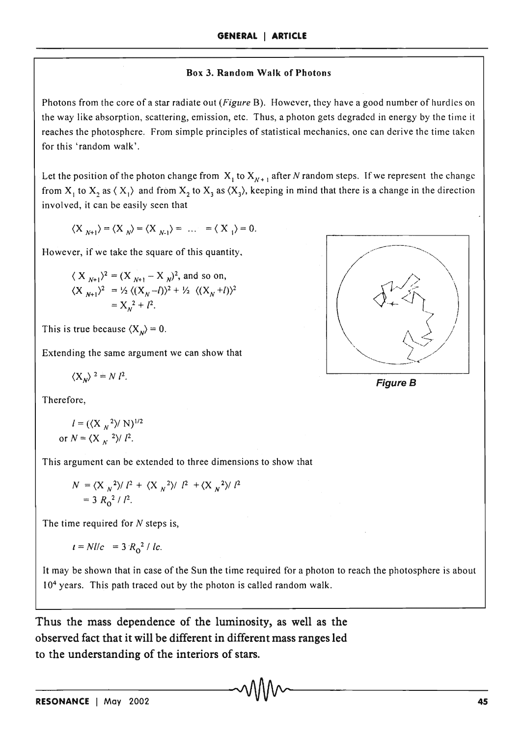#### **Box 3. Random Walk of Photons**

Photons from the core of a star radiate out *(Figure* B). However, they have a good number of hurdles on the way like absorption, scattering, emission, etc. Thus, a photon gets degraded in energy by the time it reaches the photosphere. From simple principles of statistical mechanics, one can derive the time taken for this 'random walk'.

Let the position of the photon change from  $X_1$  to  $X_{N+1}$  after *N* random steps. If we represent the change from  $X_1$  to  $X_2$  as  $\langle X_1 \rangle$  and from  $X_2$  to  $X_3$  as  $\langle X_3 \rangle$ , keeping in mind that there is a change in the direction involved, it can be easily seen that

$$
\langle X_{N+1}\rangle=\langle X_{N}\rangle=\langle X_{N-1}\rangle=\ldots=\langle X_{1}\rangle=0.
$$

However, if we take the square of this quantity,

$$
\langle X_{N+1} \rangle^2 = (X_{N+1} - X_N)^2, \text{ and so on,}
$$
  

$$
\langle X_{N+1} \rangle^2 = \frac{1}{2} \langle (X_N - I) \rangle^2 + \frac{1}{2} \langle (X_N + I) \rangle^2
$$
  

$$
= X_N^2 + I^2.
$$

This is true because  $\langle X_{N} \rangle = 0$ .

Extending the same argument we can show that

$$
\langle X_{\nu} \rangle^{2} = N l^{2}.
$$

Therefore,

$$
l = (\langle X_N^2 \rangle / N)^{1/2}
$$
  
or 
$$
N = \langle X_N^2 \rangle / l^2.
$$

This argument can be extended to three dimensions to show that

$$
N = \langle X_N^2 \rangle / l^2 + \langle X_N^2 \rangle / l^2 + \langle X_N^2 \rangle / l^2
$$
  
= 3 R<sub>0</sub><sup>2</sup> / l<sup>2</sup>.

The time required for  $N$  steps is,

$$
t = Nl/c = 3 R_0^2 / lc
$$
.

It may be shown that in case of the Sun the time required for a photon to reach the photosphere is about 10<sup>4</sup> years. This path traced out by the photon is called random walk.

**Thus the mass dependence of the luminosity, as well as the observed fact that it will be different in different mass ranges led to the understanding of the interiors of stars.** 



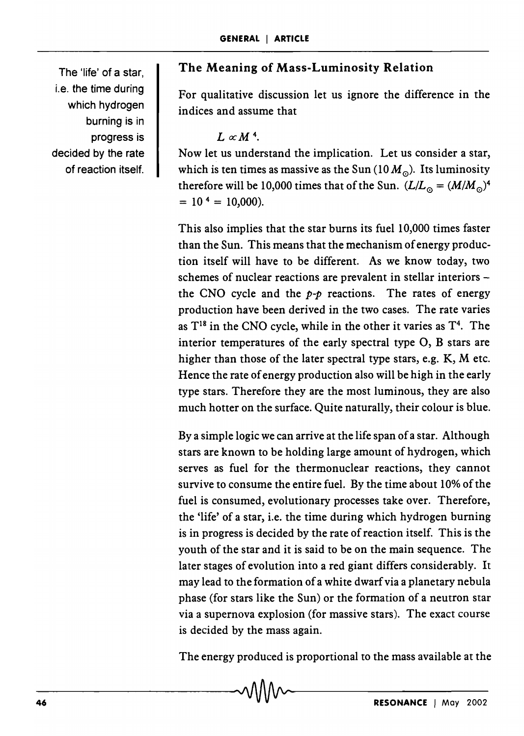The 'life' of a star, i.e. the time during which hydrogen burning is in progress is decided by the rate of reaction itself.

### **The Meaning of Mass-Luminosity Relation**

For qualitative discussion let us ignore the difference in the indices and assume that

 $L \propto M<sup>4</sup>$ .

Now let us understand the implication. Let us consider a star, which is ten times as massive as the Sun  $(10 M_0)$ . Its luminosity therefore will be 10,000 times that of the Sun.  $(L/L_{\odot} = (M/M_{\odot})^4$  $= 10^{4} = 10,000$ ).

This also implies that the star burns its fuel 10,000 times faster than the Sun. This means that the mechanism of energy production itself will have to be different. As we know today, two schemes of nuclear reactions are prevalent in stellar interiors the CNO cycle and the  $p-p$  reactions. The rates of energy production have been derived in the two cases. The rate varies as  $T^{18}$  in the CNO cycle, while in the other it varies as  $T^4$ . The interior temperatures of the early spectral type 0, B stars are higher than those of the later spectral type stars, e.g.  $K$ ,  $M$  etc. Hence the rate of energy production also will be high in the early type stars. Therefore they are the most luminous, they are also much hotter on the surface. Quite naturally, their colour is blue.

Bya simple logic we can arrive at the life span of a star. Although stars are known to be holding large amount of hydrogen, which serves as fuel for the thermonuclear reactions, they cannot survive to consume the entire fuel. By the time about 10% of the fuel is consumed, evolutionary processes take over. Therefore, the 'life' of a star, i.e. the time during which hydrogen burning is in progress is decided by the rate of reaction itself. This is the youth of the star and it is said to be on the main sequence. The later stages of evolution into a red giant differs considerably. It may lead to the formation of a white dwarf via a planetary nebula phase (for stars like the Sun) or the formation of a neutron star via a supernova explosion (for massive stars). The exact course is decided by the mass again.

The energy produced is proportional to the mass available at the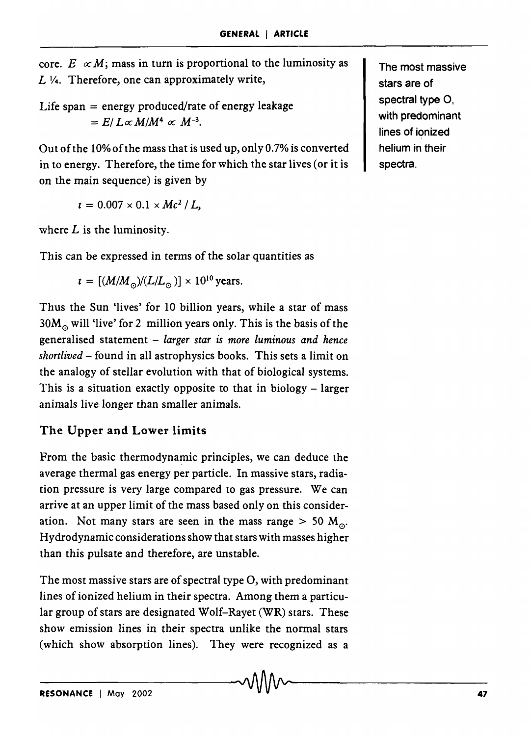core.  $E \propto M$ ; mass in turn is proportional to the luminosity as  $L$   $\frac{1}{4}$ . Therefore, one can approximately write,

Life span  $=$  energy produced/rate of energy leakage  $= E/L \propto M/M^4 \propto M^{-3}$ .

Out of the 10%ofthe mass that is used up, only 0.7% is converted in to energy. Therefore, the time for which the star lives (or it is on the main sequence) is given by

 $t = 0.007 \times 0.1 \times Mc^2/L$ 

where  $L$  is the luminosity.

This can be expressed in terms of the solar quantities as

$$
t = [(M/M_{\odot})/(L/L_{\odot})] \times 10^{10}
$$
 years.

Thus the Sun 'lives' for 10 billion years, while a star of mass  $30M<sub>o</sub>$  will 'live' for 2 million years only. This is the basis of the generalised statement- *larger star is more luminous and hence shortlived* - found in all astrophysics books. This sets a limit on the analogy of stellar evolution with that of biological systems. This is a situation exactly opposite to that in biology  $-$  larger animals live longer than smaller animals.

# The Upper and Lower limits

From the basic thermodynamic principles, we can deduce the average thermal gas energy per particle. In massive stars, radiation pressure is very large compared to gas pressure. We can arrive at an upper limit of the mass based only on this consideration. Not many stars are seen in the mass range  $> 50$  M<sub>o</sub>. Hydrodynamic considerations show that stars with masses higher than this pulsate and therefore, are unstable.

The most massive stars are of spectral type 0, with predominant lines of ionized helium in their spectra. Among them a particular group of stars are designated Wolf-Rayet (WR) stars. These show emission lines in their spectra unlike the normal stars (which show absorption lines). They were recognized as a

The most massive stars are of spectral type O. with predominant lines of ionized helium in their spectra.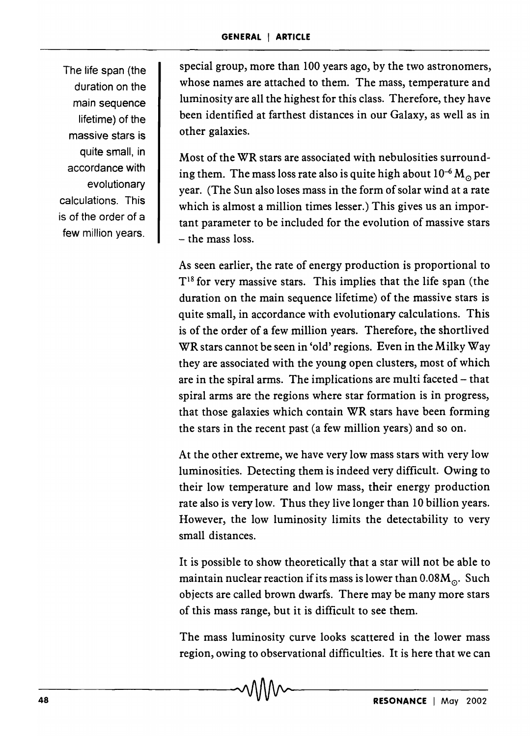The life span (the duration on the main sequence lifetime) of the massive stars is quite small, in accordance with evolutionary calculations. This is of the order of a few million years.

special group, more than 100 years ago, by the two astronomers, whose names are attached to them. The mass, temperature and luminosity are all the highest for this class. Therefore, they have been identified at farthest distances in our Galaxy, as well as in other galaxies.

Most of the WR stars are associated with nebulosities surrounding them. The mass loss rate also is quite high about  $10^{-6} M_{\odot}$  per year. (The Sun also loses mass in the form of solar wind at a rate which is almost a million times lesser.) This gives us an important parameter to be included for the evolution of massive stars - the mass loss.

As seen earlier, the rate of energy production is proportional to  $T<sup>18</sup>$  for very massive stars. This implies that the life span (the duration on the main sequence lifetime) of the massive stars is quite small, in accordance with evolutionary calculations. This is of the order of a few million years. Therefore, the shortlived WR stars cannot be seen in 'old' regions. Even in the Milky Way they are associated with the young open clusters, most of which are in the spiral arms. The implications are multi faceted – that spiral arms are the regions where star formation is in progress, that those galaxies which contain WR stars have been forming the stars in the recent past (a few million years) and so on.

At the other extreme, we have very low mass stars with very low luminosities. Detecting them is indeed very difficult. Owing to their low temperature and low mass, their energy production rate also is very low. Thus they live longer than 10 billion years. However, the low luminosity limits the detectability to very small distances.

It is possible to show theoretically that a star will not be able to maintain nuclear reaction if its mass is lower than  $0.08M_{\odot}$ . Such objects are called brown dwarfs. There may be many more stars of this mass range, but it is difficult to see them.

The mass luminosity curve looks scattered in the lower mass region, owing to observational difficulties. It is here that we can